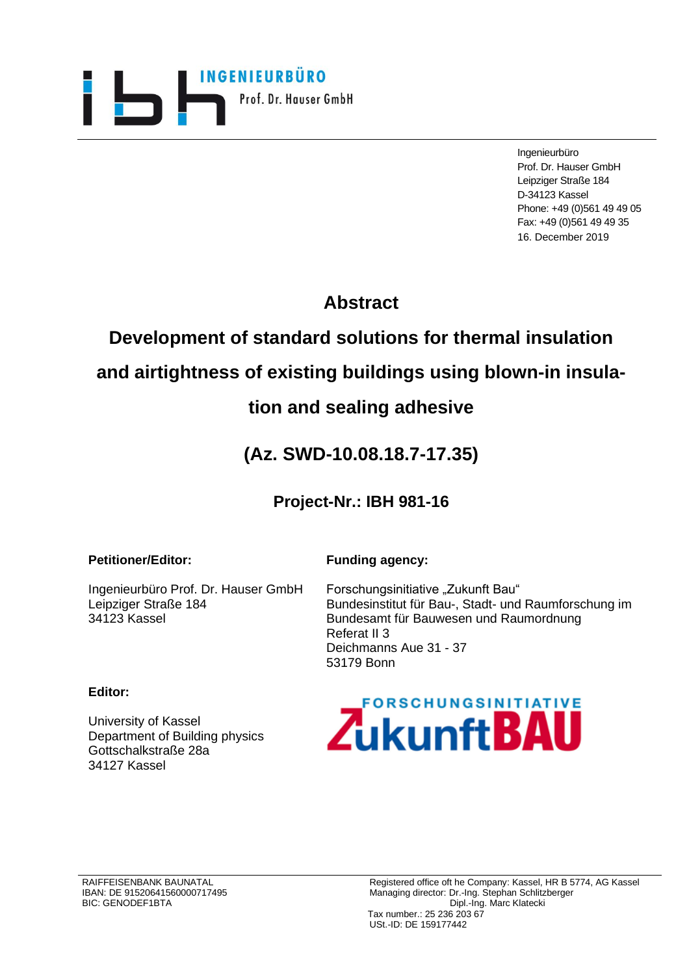

Ingenieurbüro Prof. Dr. Hauser GmbH Leipziger Straße 184 D-34123 Kassel Phone: +49 (0)561 49 49 05 Fax: +49 (0)561 49 49 35 16. December 2019

# **Abstract**

# **Development of standard solutions for thermal insulation**

## **and airtightness of existing buildings using blown-in insula-**

## **tion and sealing adhesive**

# **(Az. SWD-10.08.18.7-17.35)**

### **Project-Nr.: IBH 981-16**

### **Petitioner/Editor:**

### **Funding agency:**

Ingenieurbüro Prof. Dr. Hauser GmbH Leipziger Straße 184 34123 Kassel

Forschungsinitiative "Zukunft Bau" Bundesinstitut für Bau-, Stadt- und Raumforschung im Bundesamt für Bauwesen und Raumordnung Referat II 3 Deichmanns Aue 31 - 37 53179 Bonn

### **Editor:**

University of Kassel Department of Building physics Gottschalkstraße 28a 34127 Kassel

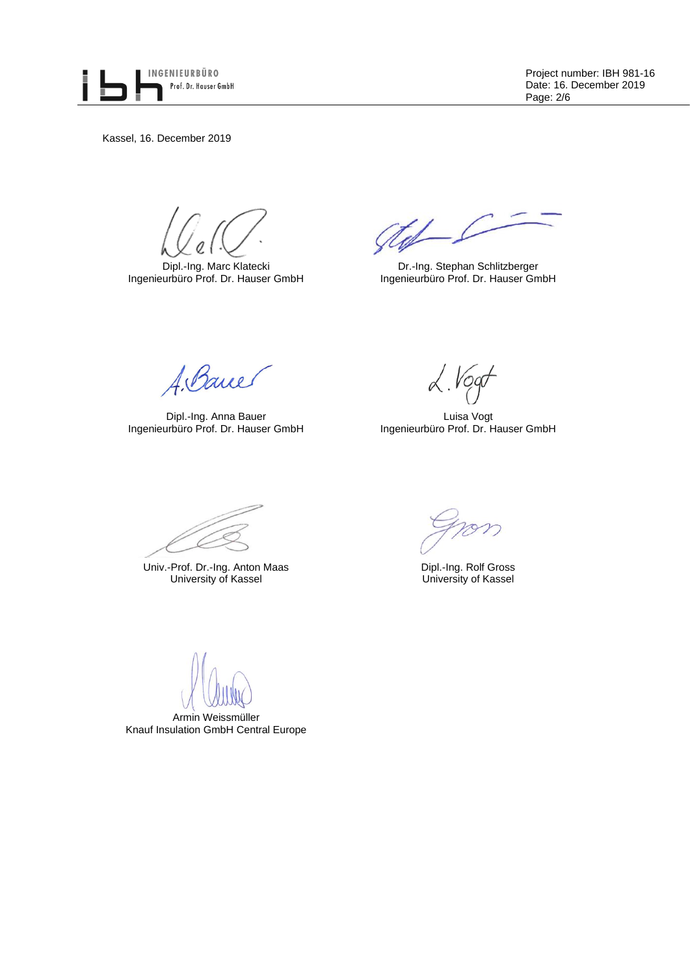

Project number: IBH 981-16 Date: 16. December 2019 Page: 2/6

Kassel, 16. December 2019

Dipl.-Ing. Marc Klatecki Ingenieurbüro Prof. Dr. Hauser GmbH

gtof C

Dr.-Ing. Stephan Schlitzberger Ingenieurbüro Prof. Dr. Hauser GmbH

A. Bancer

Dipl.-Ing. Anna Bauer Ingenieurbüro Prof. Dr. Hauser GmbH

 $\lambda$ . Vogt

Luisa Vogt Ingenieurbüro Prof. Dr. Hauser GmbH

Univ.-Prof. Dr.-Ing. Anton Maas Dipl.-Ing. Rolf Gross University of Kassel University of Kassel University of Kassel

Armin Weissmüller Knauf Insulation GmbH Central Europe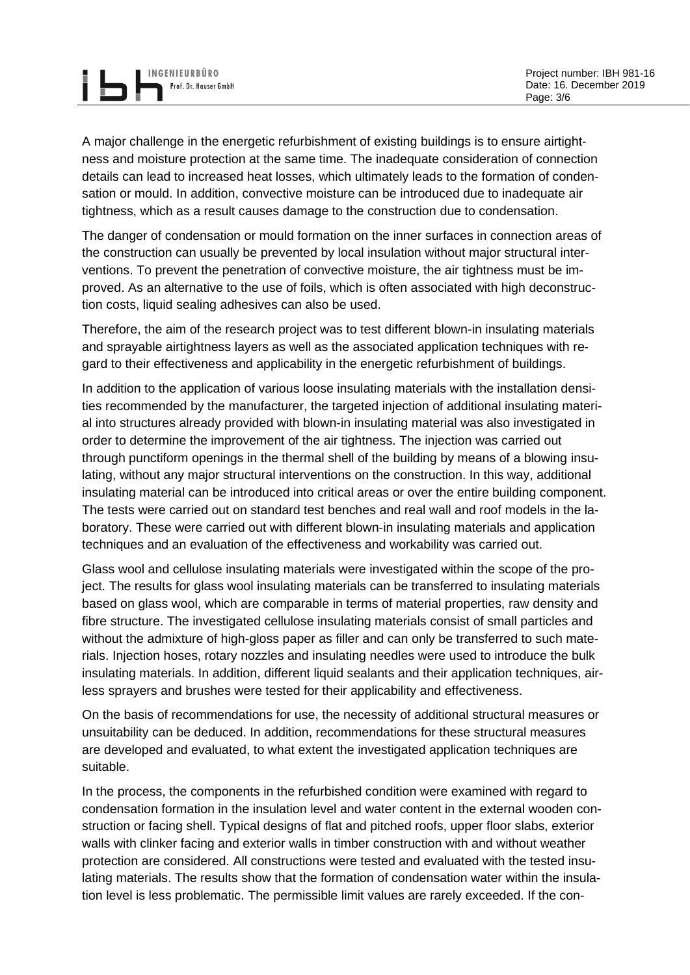A major challenge in the energetic refurbishment of existing buildings is to ensure airtightness and moisture protection at the same time. The inadequate consideration of connection details can lead to increased heat losses, which ultimately leads to the formation of condensation or mould. In addition, convective moisture can be introduced due to inadequate air tightness, which as a result causes damage to the construction due to condensation.

The danger of condensation or mould formation on the inner surfaces in connection areas of the construction can usually be prevented by local insulation without major structural interventions. To prevent the penetration of convective moisture, the air tightness must be improved. As an alternative to the use of foils, which is often associated with high deconstruction costs, liquid sealing adhesives can also be used.

Therefore, the aim of the research project was to test different blown-in insulating materials and sprayable airtightness layers as well as the associated application techniques with regard to their effectiveness and applicability in the energetic refurbishment of buildings.

In addition to the application of various loose insulating materials with the installation densities recommended by the manufacturer, the targeted injection of additional insulating material into structures already provided with blown-in insulating material was also investigated in order to determine the improvement of the air tightness. The injection was carried out through punctiform openings in the thermal shell of the building by means of a blowing insulating, without any major structural interventions on the construction. In this way, additional insulating material can be introduced into critical areas or over the entire building component. The tests were carried out on standard test benches and real wall and roof models in the laboratory. These were carried out with different blown-in insulating materials and application techniques and an evaluation of the effectiveness and workability was carried out.

Glass wool and cellulose insulating materials were investigated within the scope of the project. The results for glass wool insulating materials can be transferred to insulating materials based on glass wool, which are comparable in terms of material properties, raw density and fibre structure. The investigated cellulose insulating materials consist of small particles and without the admixture of high-gloss paper as filler and can only be transferred to such materials. Injection hoses, rotary nozzles and insulating needles were used to introduce the bulk insulating materials. In addition, different liquid sealants and their application techniques, airless sprayers and brushes were tested for their applicability and effectiveness.

On the basis of recommendations for use, the necessity of additional structural measures or unsuitability can be deduced. In addition, recommendations for these structural measures are developed and evaluated, to what extent the investigated application techniques are suitable.

In the process, the components in the refurbished condition were examined with regard to condensation formation in the insulation level and water content in the external wooden construction or facing shell. Typical designs of flat and pitched roofs, upper floor slabs, exterior walls with clinker facing and exterior walls in timber construction with and without weather protection are considered. All constructions were tested and evaluated with the tested insulating materials. The results show that the formation of condensation water within the insulation level is less problematic. The permissible limit values are rarely exceeded. If the con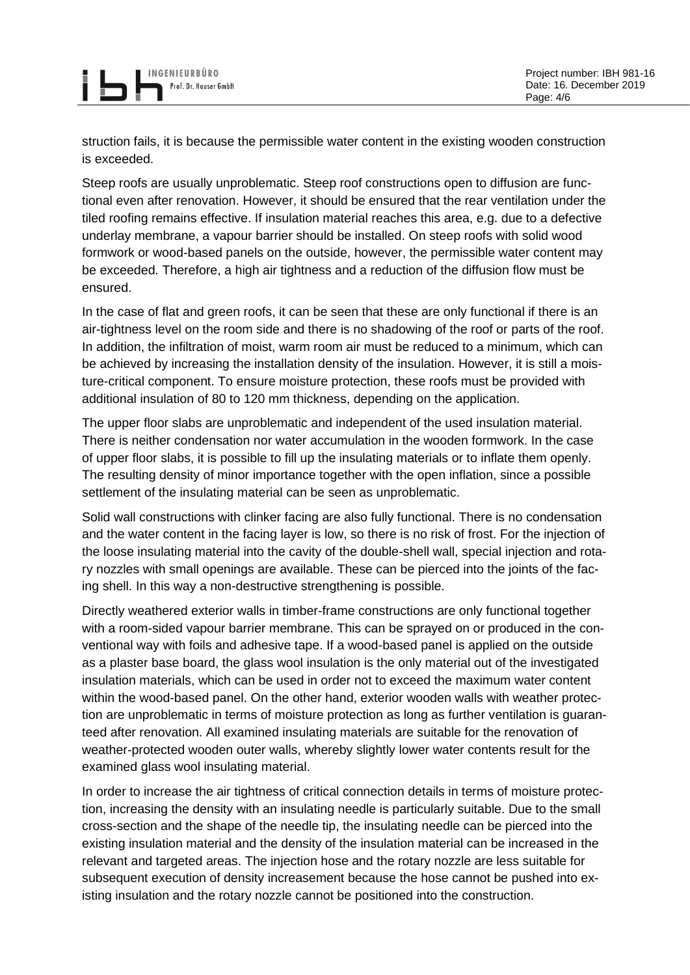INGENIEURBÜRO Prof. Dr. Hauser GmbH

struction fails, it is because the permissible water content in the existing wooden construction is exceeded.

Steep roofs are usually unproblematic. Steep roof constructions open to diffusion are functional even after renovation. However, it should be ensured that the rear ventilation under the tiled roofing remains effective. If insulation material reaches this area, e.g. due to a defective underlay membrane, a vapour barrier should be installed. On steep roofs with solid wood formwork or wood-based panels on the outside, however, the permissible water content may be exceeded. Therefore, a high air tightness and a reduction of the diffusion flow must be ensured.

In the case of flat and green roofs, it can be seen that these are only functional if there is an air-tightness level on the room side and there is no shadowing of the roof or parts of the roof. In addition, the infiltration of moist, warm room air must be reduced to a minimum, which can be achieved by increasing the installation density of the insulation. However, it is still a moisture-critical component. To ensure moisture protection, these roofs must be provided with additional insulation of 80 to 120 mm thickness, depending on the application.

The upper floor slabs are unproblematic and independent of the used insulation material. There is neither condensation nor water accumulation in the wooden formwork. In the case of upper floor slabs, it is possible to fill up the insulating materials or to inflate them openly. The resulting density of minor importance together with the open inflation, since a possible settlement of the insulating material can be seen as unproblematic.

Solid wall constructions with clinker facing are also fully functional. There is no condensation and the water content in the facing layer is low, so there is no risk of frost. For the injection of the loose insulating material into the cavity of the double-shell wall, special injection and rotary nozzles with small openings are available. These can be pierced into the joints of the facing shell. In this way a non-destructive strengthening is possible.

Directly weathered exterior walls in timber-frame constructions are only functional together with a room-sided vapour barrier membrane. This can be sprayed on or produced in the conventional way with foils and adhesive tape. If a wood-based panel is applied on the outside as a plaster base board, the glass wool insulation is the only material out of the investigated insulation materials, which can be used in order not to exceed the maximum water content within the wood-based panel. On the other hand, exterior wooden walls with weather protection are unproblematic in terms of moisture protection as long as further ventilation is guaranteed after renovation. All examined insulating materials are suitable for the renovation of weather-protected wooden outer walls, whereby slightly lower water contents result for the examined glass wool insulating material.

In order to increase the air tightness of critical connection details in terms of moisture protection, increasing the density with an insulating needle is particularly suitable. Due to the small cross-section and the shape of the needle tip, the insulating needle can be pierced into the existing insulation material and the density of the insulation material can be increased in the relevant and targeted areas. The injection hose and the rotary nozzle are less suitable for subsequent execution of density increasement because the hose cannot be pushed into existing insulation and the rotary nozzle cannot be positioned into the construction.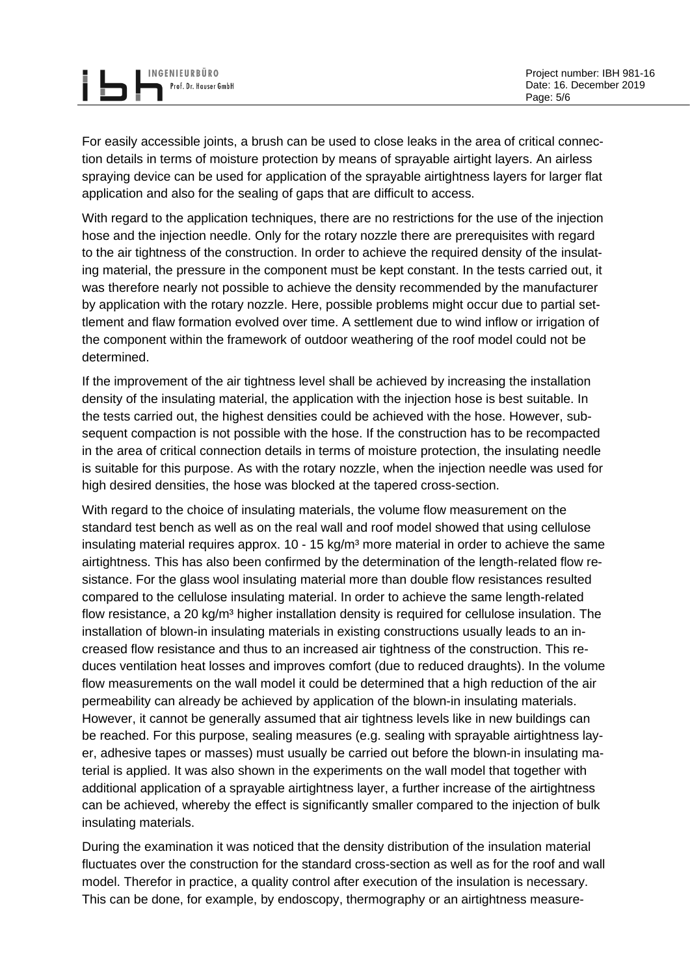For easily accessible joints, a brush can be used to close leaks in the area of critical connection details in terms of moisture protection by means of sprayable airtight layers. An airless spraying device can be used for application of the sprayable airtightness layers for larger flat application and also for the sealing of gaps that are difficult to access.

INGENIEURBÜRO

With regard to the application techniques, there are no restrictions for the use of the injection hose and the injection needle. Only for the rotary nozzle there are prerequisites with regard to the air tightness of the construction. In order to achieve the required density of the insulating material, the pressure in the component must be kept constant. In the tests carried out, it was therefore nearly not possible to achieve the density recommended by the manufacturer by application with the rotary nozzle. Here, possible problems might occur due to partial settlement and flaw formation evolved over time. A settlement due to wind inflow or irrigation of the component within the framework of outdoor weathering of the roof model could not be determined.

If the improvement of the air tightness level shall be achieved by increasing the installation density of the insulating material, the application with the injection hose is best suitable. In the tests carried out, the highest densities could be achieved with the hose. However, subsequent compaction is not possible with the hose. If the construction has to be recompacted in the area of critical connection details in terms of moisture protection, the insulating needle is suitable for this purpose. As with the rotary nozzle, when the injection needle was used for high desired densities, the hose was blocked at the tapered cross-section.

With regard to the choice of insulating materials, the volume flow measurement on the standard test bench as well as on the real wall and roof model showed that using cellulose insulating material requires approx.  $10 - 15$  kg/m<sup>3</sup> more material in order to achieve the same airtightness. This has also been confirmed by the determination of the length-related flow resistance. For the glass wool insulating material more than double flow resistances resulted compared to the cellulose insulating material. In order to achieve the same length-related flow resistance, a 20 kg/ $m<sup>3</sup>$  higher installation density is required for cellulose insulation. The installation of blown-in insulating materials in existing constructions usually leads to an increased flow resistance and thus to an increased air tightness of the construction. This reduces ventilation heat losses and improves comfort (due to reduced draughts). In the volume flow measurements on the wall model it could be determined that a high reduction of the air permeability can already be achieved by application of the blown-in insulating materials. However, it cannot be generally assumed that air tightness levels like in new buildings can be reached. For this purpose, sealing measures (e.g. sealing with sprayable airtightness layer, adhesive tapes or masses) must usually be carried out before the blown-in insulating material is applied. It was also shown in the experiments on the wall model that together with additional application of a sprayable airtightness layer, a further increase of the airtightness can be achieved, whereby the effect is significantly smaller compared to the injection of bulk insulating materials.

During the examination it was noticed that the density distribution of the insulation material fluctuates over the construction for the standard cross-section as well as for the roof and wall model. Therefor in practice, a quality control after execution of the insulation is necessary. This can be done, for example, by endoscopy, thermography or an airtightness measure